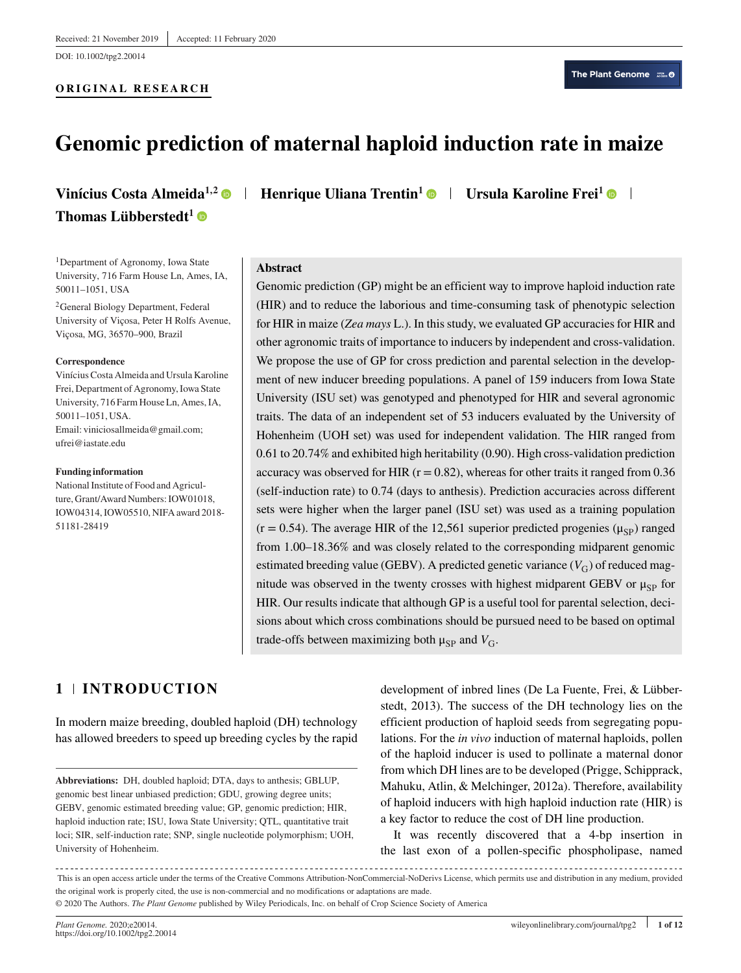DOI: 10.1002/tpg2.20014

#### **ORIGINAL RESEARCH**

# **Genomic prediction of maternal haploid induction rate in maize**

# **Thomas Lübberstedt1**

<sup>1</sup>Department of Agronomy, Iowa State University, 716 Farm House Ln, Ames, IA, 50011–1051, USA

2General Biology Department, Federal University of Viçosa, Peter H Rolfs Avenue, Viçosa, MG, 36570–900, Brazil

#### **Correspondence**

Vinícius Costa Almeida and Ursula Karoline Frei, Department of Agronomy, Iowa State University, 716 Farm House Ln, Ames, IA, 50011–1051, USA. Email: viniciosallmeida@gmail.com; ufrei@iastate.edu

#### **Funding information**

National Institute of Food and Agriculture, Grant/Award Numbers: IOW01018, IOW04314, IOW05510, NIFA award 2018- 51181-28419

**Vinícius Costa Almeida<sup>1,2</sup> • Henrique Uliana Trentin<sup>1</sup> • Ursula Karoline Frei<sup>1</sup> • I** 

# **Abstract**

Genomic prediction (GP) might be an efficient way to improve haploid induction rate (HIR) and to reduce the laborious and time-consuming task of phenotypic selection for HIR in maize (*Zea mays* L.). In this study, we evaluated GP accuracies for HIR and other agronomic traits of importance to inducers by independent and cross-validation. We propose the use of GP for cross prediction and parental selection in the development of new inducer breeding populations. A panel of 159 inducers from Iowa State University (ISU set) was genotyped and phenotyped for HIR and several agronomic traits. The data of an independent set of 53 inducers evaluated by the University of Hohenheim (UOH set) was used for independent validation. The HIR ranged from 0.61 to 20.74% and exhibited high heritability (0.90). High cross-validation prediction accuracy was observed for HIR ( $r = 0.82$ ), whereas for other traits it ranged from 0.36 (self-induction rate) to 0.74 (days to anthesis). Prediction accuracies across different sets were higher when the larger panel (ISU set) was used as a training population  $(r = 0.54)$ . The average HIR of the 12,561 superior predicted progenies ( $\mu_{SP}$ ) ranged from 1.00–18.36% and was closely related to the corresponding midparent genomic estimated breeding value (GEBV). A predicted genetic variance  $(V_G)$  of reduced magnitude was observed in the twenty crosses with highest midparent GEBV or  $\mu_{SP}$  for HIR. Our results indicate that although GP is a useful tool for parental selection, decisions about which cross combinations should be pursued need to be based on optimal trade-offs between maximizing both  $\mu_{SP}$  and  $V_{G}$ .

# **1 INTRODUCTION**

In modern maize breeding, doubled haploid (DH) technology has allowed breeders to speed up breeding cycles by the rapid development of inbred lines (De La Fuente, Frei, & Lübberstedt, 2013). The success of the DH technology lies on the efficient production of haploid seeds from segregating populations. For the *in vivo* induction of maternal haploids, pollen of the haploid inducer is used to pollinate a maternal donor from which DH lines are to be developed (Prigge, Schipprack, Mahuku, Atlin, & Melchinger, 2012a). Therefore, availability of haploid inducers with high haploid induction rate (HIR) is a key factor to reduce the cost of DH line production.

It was recently discovered that a 4-bp insertion in the last exon of a pollen-specific phospholipase, named

**Abbreviations:** DH, doubled haploid; DTA, days to anthesis; GBLUP, genomic best linear unbiased prediction; GDU, growing degree units; GEBV, genomic estimated breeding value; GP, genomic prediction; HIR, haploid induction rate; ISU, Iowa State University; QTL, quantitative trait loci; SIR, self-induction rate; SNP, single nucleotide polymorphism; UOH, University of Hohenheim.

This is an open access article under the terms of the [Creative Commons Attribution-NonCommercial-NoDerivs](http://creativecommons.org/licenses/by-nc-nd/4.0/) License, which permits use and distribution in any medium, provided the original work is properly cited, the use is non-commercial and no modifications or adaptations are made. © 2020 The Authors. *The Plant Genome* published by Wiley Periodicals, Inc. on behalf of Crop Science Society of America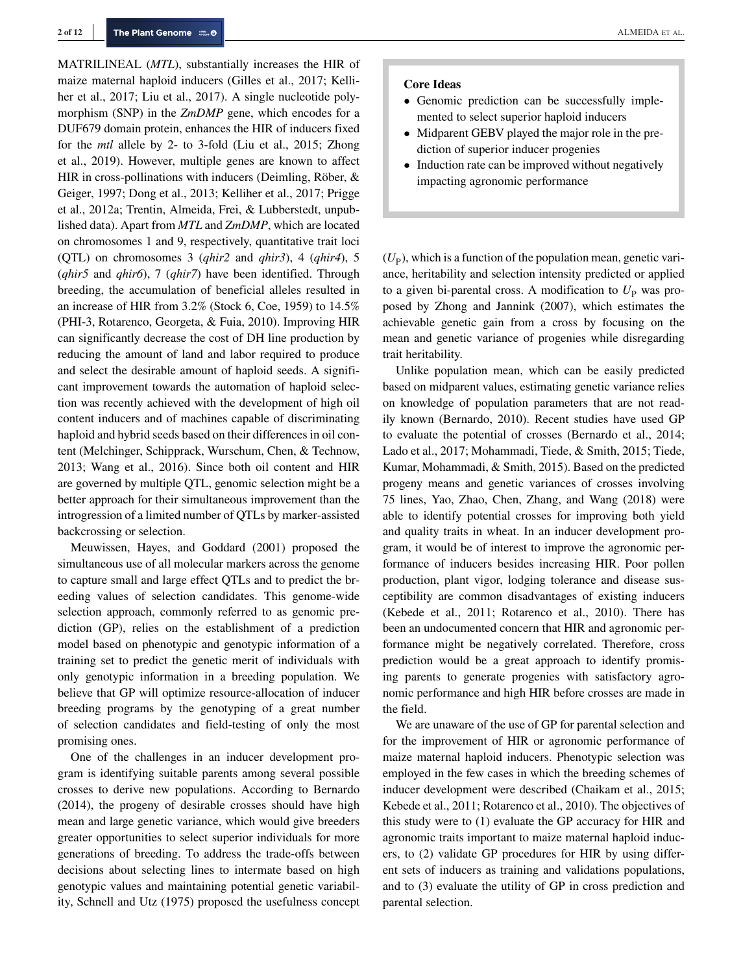MATRILINEAL (*MTL*), substantially increases the HIR of maize maternal haploid inducers (Gilles et al., 2017; Kelliher et al., 2017; Liu et al., 2017). A single nucleotide polymorphism (SNP) in the *ZmDMP* gene, which encodes for a DUF679 domain protein, enhances the HIR of inducers fixed for the *mtl* allele by 2- to 3-fold (Liu et al., 2015; Zhong et al., 2019). However, multiple genes are known to affect HIR in cross-pollinations with inducers (Deimling, Röber, & Geiger, 1997; Dong et al., 2013; Kelliher et al., 2017; Prigge et al., 2012a; Trentin, Almeida, Frei, & Lubberstedt, unpublished data). Apart from *MTL* and *ZmDMP*, which are located on chromosomes 1 and 9, respectively, quantitative trait loci (QTL) on chromosomes 3 (*qhir2* and *qhir3*), 4 (*qhir4*), 5 (*qhir5* and *qhir6*), 7 (*qhir7*) have been identified. Through breeding, the accumulation of beneficial alleles resulted in an increase of HIR from 3.2% (Stock 6, Coe, 1959) to 14.5% (PHI-3, Rotarenco, Georgeta, & Fuia, 2010). Improving HIR can significantly decrease the cost of DH line production by reducing the amount of land and labor required to produce and select the desirable amount of haploid seeds. A significant improvement towards the automation of haploid selection was recently achieved with the development of high oil content inducers and of machines capable of discriminating haploid and hybrid seeds based on their differences in oil content (Melchinger, Schipprack, Wurschum, Chen, & Technow, 2013; Wang et al., 2016). Since both oil content and HIR are governed by multiple QTL, genomic selection might be a better approach for their simultaneous improvement than the introgression of a limited number of QTLs by marker-assisted backcrossing or selection.

Meuwissen, Hayes, and Goddard (2001) proposed the simultaneous use of all molecular markers across the genome to capture small and large effect QTLs and to predict the breeding values of selection candidates. This genome-wide selection approach, commonly referred to as genomic prediction (GP), relies on the establishment of a prediction model based on phenotypic and genotypic information of a training set to predict the genetic merit of individuals with only genotypic information in a breeding population. We believe that GP will optimize resource-allocation of inducer breeding programs by the genotyping of a great number of selection candidates and field-testing of only the most promising ones.

One of the challenges in an inducer development program is identifying suitable parents among several possible crosses to derive new populations. According to Bernardo (2014), the progeny of desirable crosses should have high mean and large genetic variance, which would give breeders greater opportunities to select superior individuals for more generations of breeding. To address the trade-offs between decisions about selecting lines to intermate based on high genotypic values and maintaining potential genetic variability, Schnell and Utz (1975) proposed the usefulness concept

#### **Core Ideas**

- Genomic prediction can be successfully implemented to select superior haploid inducers
- Midparent GEBV played the major role in the prediction of superior inducer progenies
- Induction rate can be improved without negatively impacting agronomic performance

 $(U_P)$ , which is a function of the population mean, genetic variance, heritability and selection intensity predicted or applied to a given bi-parental cross. A modification to  $U_{\rm P}$  was proposed by Zhong and Jannink (2007), which estimates the achievable genetic gain from a cross by focusing on the mean and genetic variance of progenies while disregarding trait heritability.

Unlike population mean, which can be easily predicted based on midparent values, estimating genetic variance relies on knowledge of population parameters that are not readily known (Bernardo, 2010). Recent studies have used GP to evaluate the potential of crosses (Bernardo et al., 2014; Lado et al., 2017; Mohammadi, Tiede, & Smith, 2015; Tiede, Kumar, Mohammadi, & Smith, 2015). Based on the predicted progeny means and genetic variances of crosses involving 75 lines, Yao, Zhao, Chen, Zhang, and Wang (2018) were able to identify potential crosses for improving both yield and quality traits in wheat. In an inducer development program, it would be of interest to improve the agronomic performance of inducers besides increasing HIR. Poor pollen production, plant vigor, lodging tolerance and disease susceptibility are common disadvantages of existing inducers (Kebede et al., 2011; Rotarenco et al., 2010). There has been an undocumented concern that HIR and agronomic performance might be negatively correlated. Therefore, cross prediction would be a great approach to identify promising parents to generate progenies with satisfactory agronomic performance and high HIR before crosses are made in the field.

We are unaware of the use of GP for parental selection and for the improvement of HIR or agronomic performance of maize maternal haploid inducers. Phenotypic selection was employed in the few cases in which the breeding schemes of inducer development were described (Chaikam et al., 2015; Kebede et al., 2011; Rotarenco et al., 2010). The objectives of this study were to (1) evaluate the GP accuracy for HIR and agronomic traits important to maize maternal haploid inducers, to (2) validate GP procedures for HIR by using different sets of inducers as training and validations populations, and to (3) evaluate the utility of GP in cross prediction and parental selection.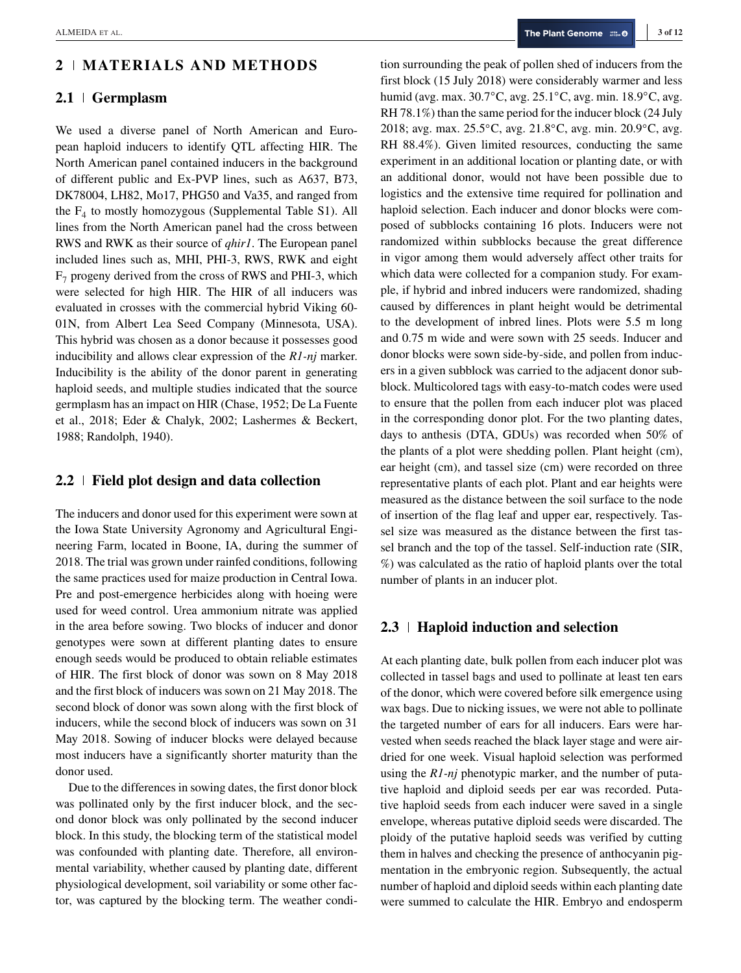# **2 MATERIALS AND METHODS**

#### **2.1 Germplasm**

We used a diverse panel of North American and European haploid inducers to identify QTL affecting HIR. The North American panel contained inducers in the background of different public and Ex-PVP lines, such as A637, B73, DK78004, LH82, Mo17, PHG50 and Va35, and ranged from the  $F_4$  to mostly homozygous (Supplemental Table S1). All lines from the North American panel had the cross between RWS and RWK as their source of *qhir1*. The European panel included lines such as, MHI, PHI-3, RWS, RWK and eight  $F<sub>7</sub>$  progeny derived from the cross of RWS and PHI-3, which were selected for high HIR. The HIR of all inducers was evaluated in crosses with the commercial hybrid Viking 60- 01N, from Albert Lea Seed Company (Minnesota, USA). This hybrid was chosen as a donor because it possesses good inducibility and allows clear expression of the *R1-nj* marker. Inducibility is the ability of the donor parent in generating haploid seeds, and multiple studies indicated that the source germplasm has an impact on HIR (Chase, 1952; De La Fuente et al., 2018; Eder & Chalyk, 2002; Lashermes & Beckert, 1988; Randolph, 1940).

# **2.2 Field plot design and data collection**

The inducers and donor used for this experiment were sown at the Iowa State University Agronomy and Agricultural Engineering Farm, located in Boone, IA, during the summer of 2018. The trial was grown under rainfed conditions, following the same practices used for maize production in Central Iowa. Pre and post-emergence herbicides along with hoeing were used for weed control. Urea ammonium nitrate was applied in the area before sowing. Two blocks of inducer and donor genotypes were sown at different planting dates to ensure enough seeds would be produced to obtain reliable estimates of HIR. The first block of donor was sown on 8 May 2018 and the first block of inducers was sown on 21 May 2018. The second block of donor was sown along with the first block of inducers, while the second block of inducers was sown on 31 May 2018. Sowing of inducer blocks were delayed because most inducers have a significantly shorter maturity than the donor used.

Due to the differences in sowing dates, the first donor block was pollinated only by the first inducer block, and the second donor block was only pollinated by the second inducer block. In this study, the blocking term of the statistical model was confounded with planting date. Therefore, all environmental variability, whether caused by planting date, different physiological development, soil variability or some other factor, was captured by the blocking term. The weather condition surrounding the peak of pollen shed of inducers from the first block (15 July 2018) were considerably warmer and less humid (avg. max. 30.7◦C, avg. 25.1◦C, avg. min. 18.9◦C, avg. RH 78.1%) than the same period for the inducer block (24 July 2018; avg. max. 25.5◦C, avg. 21.8◦C, avg. min. 20.9◦C, avg. RH 88.4%). Given limited resources, conducting the same experiment in an additional location or planting date, or with an additional donor, would not have been possible due to logistics and the extensive time required for pollination and haploid selection. Each inducer and donor blocks were composed of subblocks containing 16 plots. Inducers were not randomized within subblocks because the great difference in vigor among them would adversely affect other traits for which data were collected for a companion study. For example, if hybrid and inbred inducers were randomized, shading caused by differences in plant height would be detrimental to the development of inbred lines. Plots were 5.5 m long and 0.75 m wide and were sown with 25 seeds. Inducer and donor blocks were sown side-by-side, and pollen from inducers in a given subblock was carried to the adjacent donor subblock. Multicolored tags with easy-to-match codes were used to ensure that the pollen from each inducer plot was placed in the corresponding donor plot. For the two planting dates, days to anthesis (DTA, GDUs) was recorded when 50% of the plants of a plot were shedding pollen. Plant height (cm), ear height (cm), and tassel size (cm) were recorded on three representative plants of each plot. Plant and ear heights were measured as the distance between the soil surface to the node of insertion of the flag leaf and upper ear, respectively. Tassel size was measured as the distance between the first tassel branch and the top of the tassel. Self-induction rate (SIR, %) was calculated as the ratio of haploid plants over the total number of plants in an inducer plot.

#### **2.3 Haploid induction and selection**

At each planting date, bulk pollen from each inducer plot was collected in tassel bags and used to pollinate at least ten ears of the donor, which were covered before silk emergence using wax bags. Due to nicking issues, we were not able to pollinate the targeted number of ears for all inducers. Ears were harvested when seeds reached the black layer stage and were airdried for one week. Visual haploid selection was performed using the *R1-nj* phenotypic marker, and the number of putative haploid and diploid seeds per ear was recorded. Putative haploid seeds from each inducer were saved in a single envelope, whereas putative diploid seeds were discarded. The ploidy of the putative haploid seeds was verified by cutting them in halves and checking the presence of anthocyanin pigmentation in the embryonic region. Subsequently, the actual number of haploid and diploid seeds within each planting date were summed to calculate the HIR. Embryo and endosperm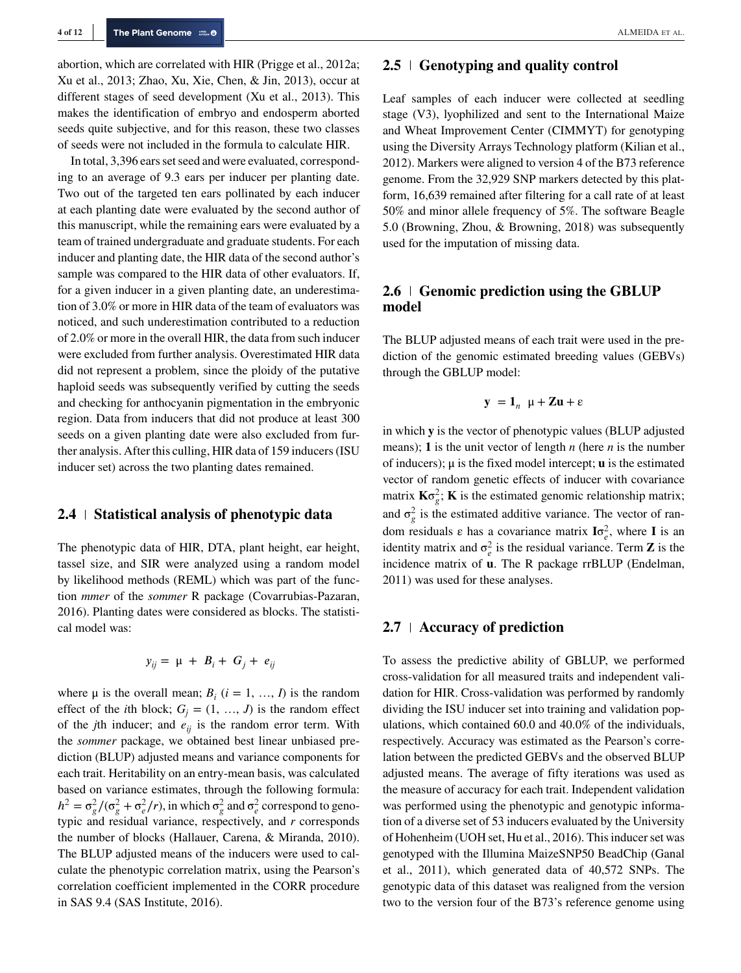abortion, which are correlated with HIR (Prigge et al., 2012a; Xu et al., 2013; Zhao, Xu, Xie, Chen, & Jin, 2013), occur at different stages of seed development (Xu et al., 2013). This makes the identification of embryo and endosperm aborted seeds quite subjective, and for this reason, these two classes of seeds were not included in the formula to calculate HIR.

In total, 3,396 ears set seed and were evaluated, corresponding to an average of 9.3 ears per inducer per planting date. Two out of the targeted ten ears pollinated by each inducer at each planting date were evaluated by the second author of this manuscript, while the remaining ears were evaluated by a team of trained undergraduate and graduate students. For each inducer and planting date, the HIR data of the second author's sample was compared to the HIR data of other evaluators. If, for a given inducer in a given planting date, an underestimation of 3.0% or more in HIR data of the team of evaluators was noticed, and such underestimation contributed to a reduction of 2.0% or more in the overall HIR, the data from such inducer were excluded from further analysis. Overestimated HIR data did not represent a problem, since the ploidy of the putative haploid seeds was subsequently verified by cutting the seeds and checking for anthocyanin pigmentation in the embryonic region. Data from inducers that did not produce at least 300 seeds on a given planting date were also excluded from further analysis. After this culling, HIR data of 159 inducers (ISU inducer set) across the two planting dates remained.

#### **2.4 Statistical analysis of phenotypic data**

The phenotypic data of HIR, DTA, plant height, ear height, tassel size, and SIR were analyzed using a random model by likelihood methods (REML) which was part of the function *mmer* of the *sommer* R package (Covarrubias-Pazaran, 2016). Planting dates were considered as blocks. The statistical model was:

$$
y_{ij} = \mu + B_i + G_j + e_{ij}
$$

where  $\mu$  is the overall mean;  $B_i$  ( $i = 1, ..., I$ ) is the random effect of the *i*th block;  $G_i = (1, ..., J)$  is the random effect of the *j*th inducer; and  $e_{ij}$  is the random error term. With the *sommer* package, we obtained best linear unbiased prediction (BLUP) adjusted means and variance components for each trait. Heritability on an entry-mean basis, was calculated based on variance estimates, through the following formula:  $h^2 = \sigma_g^2/(\sigma_g^2 + \sigma_e^2/r)$ , in which  $\sigma_g^2$  and  $\sigma_e^2$  correspond to genotypic and residual variance, respectively, and *r* corresponds the number of blocks (Hallauer, Carena, & Miranda, 2010). The BLUP adjusted means of the inducers were used to calculate the phenotypic correlation matrix, using the Pearson's correlation coefficient implemented in the CORR procedure in SAS 9.4 (SAS Institute, 2016).

#### **2.5 Genotyping and quality control**

Leaf samples of each inducer were collected at seedling stage (V3), lyophilized and sent to the International Maize and Wheat Improvement Center (CIMMYT) for genotyping using the Diversity Arrays Technology platform (Kilian et al., 2012). Markers were aligned to version 4 of the B73 reference genome. From the 32,929 SNP markers detected by this platform, 16,639 remained after filtering for a call rate of at least 50% and minor allele frequency of 5%. The software Beagle 5.0 (Browning, Zhou, & Browning, 2018) was subsequently used for the imputation of missing data.

# **2.6** Genomic prediction using the GBLUP **model**

The BLUP adjusted means of each trait were used in the prediction of the genomic estimated breeding values (GEBVs) through the GBLUP model:

$$
y = 1_n \mu + Zu + \varepsilon
$$

in which **y** is the vector of phenotypic values (BLUP adjusted means); **1** is the unit vector of length *n* (here *n* is the number of inducers); μ is the fixed model intercept; **u** is the estimated vector of random genetic effects of inducer with covariance matrix  $\mathbf{K}\sigma_g^2$ ; **K** is the estimated genomic relationship matrix; and  $\sigma_g^2$  is the estimated additive variance. The vector of random residuals  $\varepsilon$  has a covariance matrix  $I\sigma_e^2$ , where **I** is an identity matrix and  $\sigma_e^2$  is the residual variance. Term **Z** is the incidence matrix of **u**. The R package rrBLUP (Endelman, 2011) was used for these analyses.

#### **2.7 Accuracy of prediction**

To assess the predictive ability of GBLUP, we performed cross-validation for all measured traits and independent validation for HIR. Cross-validation was performed by randomly dividing the ISU inducer set into training and validation populations, which contained 60.0 and 40.0% of the individuals, respectively. Accuracy was estimated as the Pearson's correlation between the predicted GEBVs and the observed BLUP adjusted means. The average of fifty iterations was used as the measure of accuracy for each trait. Independent validation was performed using the phenotypic and genotypic information of a diverse set of 53 inducers evaluated by the University of Hohenheim (UOH set, Hu et al., 2016). This inducer set was genotyped with the Illumina MaizeSNP50 BeadChip (Ganal et al., 2011), which generated data of 40,572 SNPs. The genotypic data of this dataset was realigned from the version two to the version four of the B73's reference genome using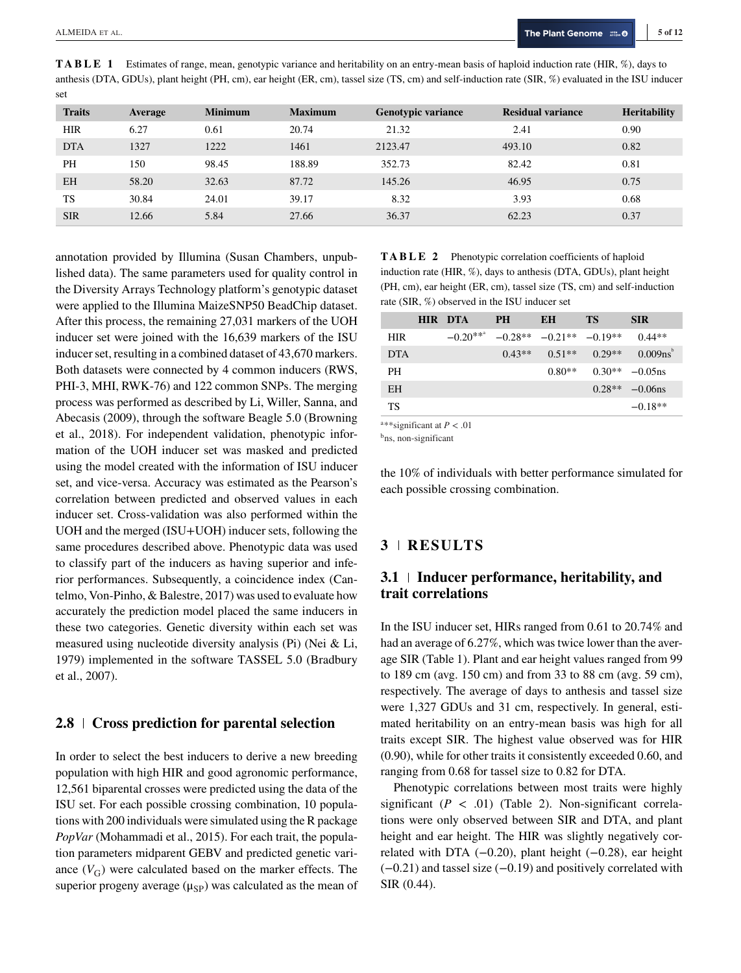| set           |         |                |                |                           |                          |                     |
|---------------|---------|----------------|----------------|---------------------------|--------------------------|---------------------|
| <b>Traits</b> | Average | <b>Minimum</b> | <b>Maximum</b> | <b>Genotypic variance</b> | <b>Residual variance</b> | <b>Heritability</b> |
| <b>HIR</b>    | 6.27    | 0.61           | 20.74          | 21.32                     | 2.41                     | 0.90                |
| <b>DTA</b>    | 1327    | 1222           | 1461           | 2123.47                   | 493.10                   | 0.82                |
| <b>PH</b>     | 150     | 98.45          | 188.89         | 352.73                    | 82.42                    | 0.81                |
| <b>EH</b>     | 58.20   | 32.63          | 87.72          | 145.26                    | 46.95                    | 0.75                |
| <b>TS</b>     | 30.84   | 24.01          | 39.17          | 8.32                      | 3.93                     | 0.68                |
| <b>SIR</b>    | 12.66   | 5.84           | 27.66          | 36.37                     | 62.23                    | 0.37                |

**TABLE 1** Estimates of range, mean, genotypic variance and heritability on an entry-mean basis of haploid induction rate (HIR, %), days to anthesis (DTA, GDUs), plant height (PH, cm), ear height (ER, cm), tassel size (TS, cm) and self-induction rate (SIR, %) evaluated in the ISU inducer

annotation provided by Illumina (Susan Chambers, unpublished data). The same parameters used for quality control in the Diversity Arrays Technology platform's genotypic dataset were applied to the Illumina MaizeSNP50 BeadChip dataset. After this process, the remaining 27,031 markers of the UOH inducer set were joined with the 16,639 markers of the ISU inducer set, resulting in a combined dataset of 43,670 markers. Both datasets were connected by 4 common inducers (RWS, PHI-3, MHI, RWK-76) and 122 common SNPs. The merging process was performed as described by Li, Willer, Sanna, and Abecasis (2009), through the software Beagle 5.0 (Browning et al., 2018). For independent validation, phenotypic information of the UOH inducer set was masked and predicted using the model created with the information of ISU inducer set, and vice-versa. Accuracy was estimated as the Pearson's correlation between predicted and observed values in each inducer set. Cross-validation was also performed within the UOH and the merged (ISU+UOH) inducer sets, following the same procedures described above. Phenotypic data was used to classify part of the inducers as having superior and inferior performances. Subsequently, a coincidence index (Cantelmo, Von-Pinho, & Balestre, 2017) was used to evaluate how accurately the prediction model placed the same inducers in these two categories. Genetic diversity within each set was measured using nucleotide diversity analysis (Pi) (Nei & Li, 1979) implemented in the software TASSEL 5.0 (Bradbury et al., 2007).

# **2.8 Cross prediction for parental selection**

In order to select the best inducers to derive a new breeding population with high HIR and good agronomic performance, 12,561 biparental crosses were predicted using the data of the ISU set. For each possible crossing combination, 10 populations with 200 individuals were simulated using the R package *PopVar* (Mohammadi et al., 2015). For each trait, the population parameters midparent GEBV and predicted genetic variance  $(V_G)$  were calculated based on the marker effects. The superior progeny average  $(\mu_{SP})$  was calculated as the mean of **TABLE 2** Phenotypic correlation coefficients of haploid induction rate (HIR, %), days to anthesis (DTA, GDUs), plant height (PH, cm), ear height (ER, cm), tassel size (TS, cm) and self-induction rate (SIR, %) observed in the ISU inducer set

|                      | <b>HIR DTA</b>                            | <b>PH</b> | EH                            | <b>TS</b> | <b>SIR</b>  |
|----------------------|-------------------------------------------|-----------|-------------------------------|-----------|-------------|
| <b>HIR</b>           | $-0.20***$                                |           | $-0.28**$ $-0.21**$ $-0.19**$ |           | $0.44**$    |
| <b>DTA</b>           |                                           | $0.43**$  | $0.51**$                      | $0.29**$  | $0.009ns^6$ |
| PH                   |                                           |           | $0.80**$                      | $0.30**$  | $-0.05$ ns  |
| EH                   |                                           |           |                               | $0.28**$  | $-0.06$ ns  |
| TS                   |                                           |           |                               |           | $-0.18**$   |
| $\cdots$<br>$\cdots$ | $\sim$ $\sim$ $\sim$ $\sim$ $\sim$ $\sim$ |           |                               |           |             |

a\*\*significant at *P* < .01

b<sub>ns</sub>, non-significant

the 10% of individuals with better performance simulated for each possible crossing combination.

### **3 RESULTS**

# **3.1 Inducer performance, heritability, and trait correlations**

In the ISU inducer set, HIRs ranged from 0.61 to 20.74% and had an average of 6.27%, which was twice lower than the average SIR (Table 1). Plant and ear height values ranged from 99 to 189 cm (avg. 150 cm) and from 33 to 88 cm (avg. 59 cm), respectively. The average of days to anthesis and tassel size were 1,327 GDUs and 31 cm, respectively. In general, estimated heritability on an entry-mean basis was high for all traits except SIR. The highest value observed was for HIR (0.90), while for other traits it consistently exceeded 0.60, and ranging from 0.68 for tassel size to 0.82 for DTA.

Phenotypic correlations between most traits were highly significant  $(P < .01)$  (Table 2). Non-significant correlations were only observed between SIR and DTA, and plant height and ear height. The HIR was slightly negatively correlated with DTA  $(-0.20)$ , plant height  $(-0.28)$ , ear height (−0.21) and tassel size (−0.19) and positively correlated with SIR (0.44).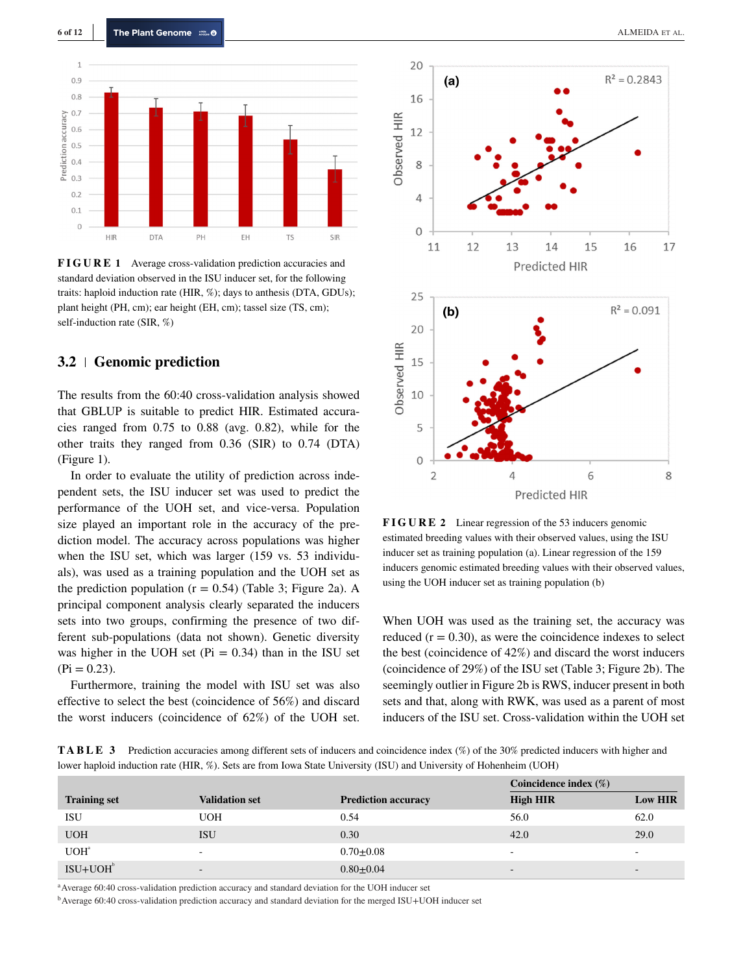

**FIGURE 1** Average cross-validation prediction accuracies and standard deviation observed in the ISU inducer set, for the following traits: haploid induction rate (HIR, %); days to anthesis (DTA, GDUs); plant height (PH, cm); ear height (EH, cm); tassel size (TS, cm); self-induction rate (SIR, %)

# **3.2 Genomic prediction**

The results from the 60:40 cross-validation analysis showed that GBLUP is suitable to predict HIR. Estimated accuracies ranged from 0.75 to 0.88 (avg. 0.82), while for the other traits they ranged from 0.36 (SIR) to 0.74 (DTA) (Figure 1).

In order to evaluate the utility of prediction across independent sets, the ISU inducer set was used to predict the performance of the UOH set, and vice-versa. Population size played an important role in the accuracy of the prediction model. The accuracy across populations was higher when the ISU set, which was larger (159 vs. 53 individuals), was used as a training population and the UOH set as the prediction population  $(r = 0.54)$  (Table 3; Figure 2a). A principal component analysis clearly separated the inducers sets into two groups, confirming the presence of two different sub-populations (data not shown). Genetic diversity was higher in the UOH set ( $Pi = 0.34$ ) than in the ISU set  $(Pi = 0.23)$ .

Furthermore, training the model with ISU set was also effective to select the best (coincidence of 56%) and discard the worst inducers (coincidence of 62%) of the UOH set.



**FIGURE 2** Linear regression of the 53 inducers genomic estimated breeding values with their observed values, using the ISU inducer set as training population (a). Linear regression of the 159 inducers genomic estimated breeding values with their observed values, using the UOH inducer set as training population (b)

When UOH was used as the training set, the accuracy was reduced  $(r = 0.30)$ , as were the coincidence indexes to select the best (coincidence of 42%) and discard the worst inducers (coincidence of 29%) of the ISU set (Table 3; Figure 2b). The seemingly outlier in Figure 2b is RWS, inducer present in both sets and that, along with RWK, was used as a parent of most inducers of the ISU set. Cross-validation within the UOH set

**TABLE 3** Prediction accuracies among different sets of inducers and coincidence index (%) of the 30% predicted inducers with higher and lower haploid induction rate (HIR, %). Sets are from Iowa State University (ISU) and University of Hohenheim (UOH)

|                     |                          |                            | Coincidence index $(\%)$ |                          |
|---------------------|--------------------------|----------------------------|--------------------------|--------------------------|
| <b>Training set</b> | <b>Validation set</b>    | <b>Prediction accuracy</b> | <b>High HIR</b>          | <b>Low HIR</b>           |
| ISU                 | <b>UOH</b>               | 0.54                       | 56.0                     | 62.0                     |
| <b>UOH</b>          | <b>ISU</b>               | 0.30                       | 42.0                     | 29.0                     |
| UOH <sup>a</sup>    | ۰                        | $0.70 \pm 0.08$            | $\overline{\phantom{a}}$ | -                        |
| $ISU+UOHb$          | $\overline{\phantom{a}}$ | $0.80 \pm 0.04$            | $\overline{\phantom{0}}$ | $\overline{\phantom{0}}$ |

<sup>a</sup> Average 60:40 cross-validation prediction accuracy and standard deviation for the UOH inducer set

bAverage 60:40 cross-validation prediction accuracy and standard deviation for the merged ISU+UOH inducer set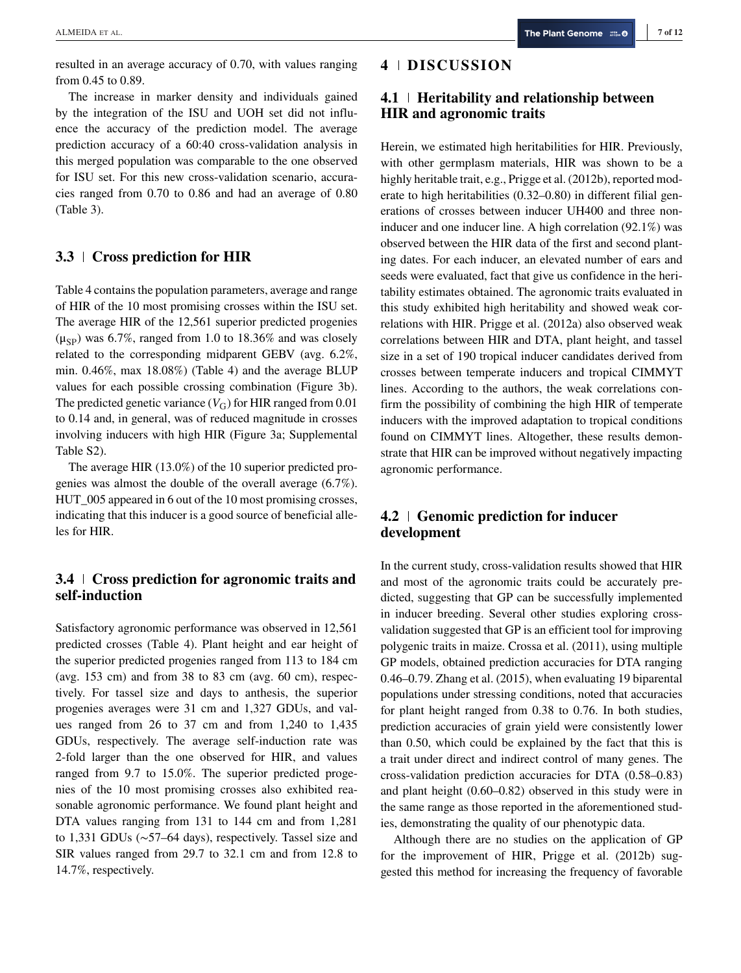resulted in an average accuracy of 0.70, with values ranging from 0.45 to 0.89.

The increase in marker density and individuals gained by the integration of the ISU and UOH set did not influence the accuracy of the prediction model. The average prediction accuracy of a 60:40 cross-validation analysis in this merged population was comparable to the one observed for ISU set. For this new cross-validation scenario, accuracies ranged from 0.70 to 0.86 and had an average of 0.80 (Table 3).

# **3.3 Cross prediction for HIR**

Table 4 contains the population parameters, average and range of HIR of the 10 most promising crosses within the ISU set. The average HIR of the 12,561 superior predicted progenies  $(\mu_{SP})$  was 6.7%, ranged from 1.0 to 18.36% and was closely related to the corresponding midparent GEBV (avg. 6.2%, min. 0.46%, max 18.08%) (Table 4) and the average BLUP values for each possible crossing combination (Figure 3b). The predicted genetic variance  $(V_G)$  for HIR ranged from 0.01 to 0.14 and, in general, was of reduced magnitude in crosses involving inducers with high HIR (Figure 3a; Supplemental Table S2).

The average HIR (13.0%) of the 10 superior predicted progenies was almost the double of the overall average (6.7%). HUT\_005 appeared in 6 out of the 10 most promising crosses, indicating that this inducer is a good source of beneficial alleles for HIR.

# **3.4 Cross prediction for agronomic traits and self-induction**

Satisfactory agronomic performance was observed in 12,561 predicted crosses (Table 4). Plant height and ear height of the superior predicted progenies ranged from 113 to 184 cm (avg.  $153$  cm) and from  $38$  to  $83$  cm (avg.  $60$  cm), respectively. For tassel size and days to anthesis, the superior progenies averages were 31 cm and 1,327 GDUs, and values ranged from 26 to 37 cm and from 1,240 to 1,435 GDUs, respectively. The average self-induction rate was 2-fold larger than the one observed for HIR, and values ranged from 9.7 to 15.0%. The superior predicted progenies of the 10 most promising crosses also exhibited reasonable agronomic performance. We found plant height and DTA values ranging from 131 to 144 cm and from 1,281 to 1,331 GDUs (∼57–64 days), respectively. Tassel size and SIR values ranged from 29.7 to 32.1 cm and from 12.8 to 14.7%, respectively.

### **4 DISCUSSION**

# **4.1 Heritability and relationship between HIR and agronomic traits**

Herein, we estimated high heritabilities for HIR. Previously, with other germplasm materials, HIR was shown to be a highly heritable trait, e.g., Prigge et al. (2012b), reported moderate to high heritabilities (0.32–0.80) in different filial generations of crosses between inducer UH400 and three noninducer and one inducer line. A high correlation (92.1%) was observed between the HIR data of the first and second planting dates. For each inducer, an elevated number of ears and seeds were evaluated, fact that give us confidence in the heritability estimates obtained. The agronomic traits evaluated in this study exhibited high heritability and showed weak correlations with HIR. Prigge et al. (2012a) also observed weak correlations between HIR and DTA, plant height, and tassel size in a set of 190 tropical inducer candidates derived from crosses between temperate inducers and tropical CIMMYT lines. According to the authors, the weak correlations confirm the possibility of combining the high HIR of temperate inducers with the improved adaptation to tropical conditions found on CIMMYT lines. Altogether, these results demonstrate that HIR can be improved without negatively impacting agronomic performance.

# **4.2 Genomic prediction for inducer development**

In the current study, cross-validation results showed that HIR and most of the agronomic traits could be accurately predicted, suggesting that GP can be successfully implemented in inducer breeding. Several other studies exploring crossvalidation suggested that GP is an efficient tool for improving polygenic traits in maize. Crossa et al. (2011), using multiple GP models, obtained prediction accuracies for DTA ranging 0.46–0.79. Zhang et al. (2015), when evaluating 19 biparental populations under stressing conditions, noted that accuracies for plant height ranged from 0.38 to 0.76. In both studies, prediction accuracies of grain yield were consistently lower than 0.50, which could be explained by the fact that this is a trait under direct and indirect control of many genes. The cross-validation prediction accuracies for DTA (0.58–0.83) and plant height (0.60–0.82) observed in this study were in the same range as those reported in the aforementioned studies, demonstrating the quality of our phenotypic data.

Although there are no studies on the application of GP for the improvement of HIR, Prigge et al. (2012b) suggested this method for increasing the frequency of favorable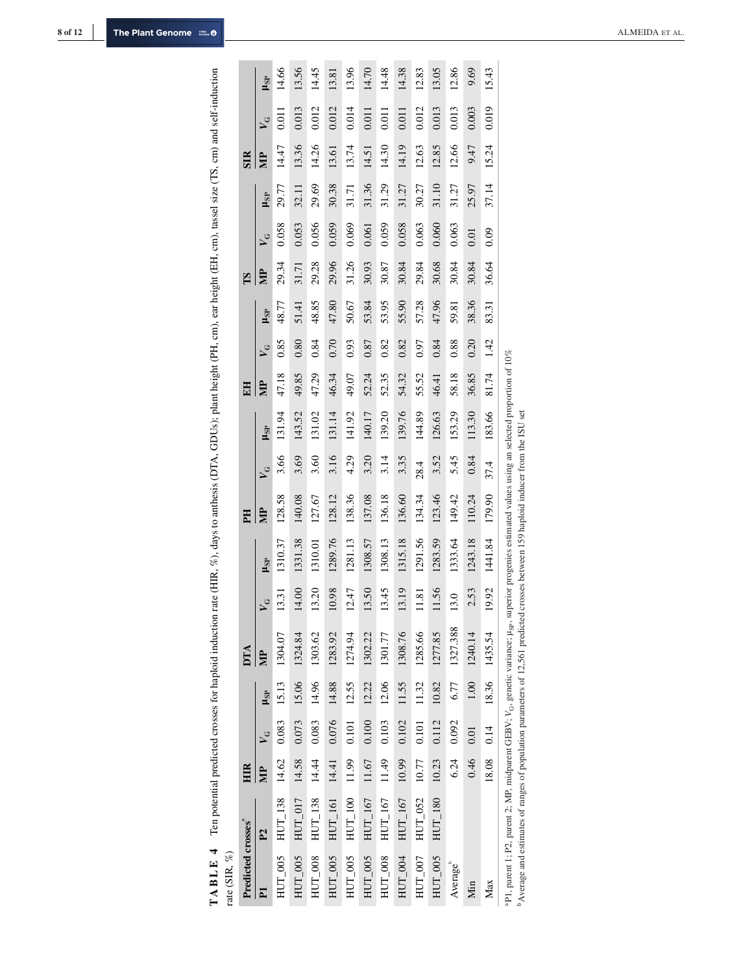|                                                                                                                                     |                               | $V_G$ $\mu_{SP}$      |                                                                                     |
|-------------------------------------------------------------------------------------------------------------------------------------|-------------------------------|-----------------------|-------------------------------------------------------------------------------------|
|                                                                                                                                     | SIR                           |                       |                                                                                     |
|                                                                                                                                     |                               |                       |                                                                                     |
|                                                                                                                                     |                               | $MP$ $V_G$ $\mu_{SP}$ |                                                                                     |
|                                                                                                                                     | TS                            |                       |                                                                                     |
|                                                                                                                                     |                               |                       |                                                                                     |
|                                                                                                                                     |                               | $MP$ $V_G$ $\mu_{SP}$ |                                                                                     |
|                                                                                                                                     | EH                            |                       |                                                                                     |
|                                                                                                                                     |                               |                       |                                                                                     |
|                                                                                                                                     |                               | $V_G$ $H_{SP}$        |                                                                                     |
|                                                                                                                                     | E                             |                       |                                                                                     |
| on rate (HIR, %), days to anthesis (DTA, GDUs); plant height (PH, cm), ear height (EH, cm), tassel size (TS, cm) and self-induction |                               |                       | 13.31 13.01.37 123.58 3.66 3.66 3.77 48.77 48.77 29.34 0.058 3.34 0.058 29.77 14.66 |
|                                                                                                                                     |                               | $V_G$ $\mu_{SP}$      |                                                                                     |
|                                                                                                                                     | DTA                           | $\mathbb{E}$          |                                                                                     |
|                                                                                                                                     |                               |                       |                                                                                     |
|                                                                                                                                     |                               |                       |                                                                                     |
|                                                                                                                                     | HIR                           |                       |                                                                                     |
| Ten potential predicted crosses for haploid inducti                                                                                 |                               |                       | $HUT_0$ 005 $HUT_1$ 138 14.62 0.083 15.13 1304.07                                   |
| TABLE 4<br>ite (SIR, $\%$ )                                                                                                         | redicted crosses <sup>ª</sup> |                       |                                                                                     |

| $\ddot{\phantom{a}}$ |                                                                                                                                                                                                                                                         |       |       |            |          |                         |                                                                         |        |         |            |       |                         |       |       |         |                       |       |         |            |
|----------------------|---------------------------------------------------------------------------------------------------------------------------------------------------------------------------------------------------------------------------------------------------------|-------|-------|------------|----------|-------------------------|-------------------------------------------------------------------------|--------|---------|------------|-------|-------------------------|-------|-------|---------|-----------------------|-------|---------|------------|
| Predicted crosses    |                                                                                                                                                                                                                                                         | HIR   |       |            | DTA      |                         |                                                                         | EH     |         |            | EH    |                         |       | ES    |         |                       | SIR   |         |            |
|                      | $\mathbf{P}$                                                                                                                                                                                                                                            |       |       | $\mu_{SP}$ |          | $\mathsf{v}_\mathsf{G}$ | $\mu_{SP}$                                                              | ₿      | $\zeta$ | $\mu_{SP}$ |       | $\mathbf{v}_\mathbf{G}$ | LSP   | ₿     | $\zeta$ | <b>H<sub>SP</sub></b> | Ê     | $\zeta$ | $\mu_{SP}$ |
| $HUT_0005$           | $HUT_1$ 138                                                                                                                                                                                                                                             | 14.62 | 0.083 | 15.13      | 1304.07  | 13.31                   | 1310.37                                                                 | 128.58 | 3.66    | 131.94     | 47.18 | 0.85                    | 48.77 | 29.34 | 0.058   | 29.77                 | 14.47 | 0.011   | 14.66      |
| $HUT_0005$           | $HUT_0$ 17                                                                                                                                                                                                                                              | 14.58 | 0.073 | 15.06      | 1324.84  | 14.00                   | 1331.38                                                                 | 140.08 | 3.69    | 143.52     | 49.85 | 0.80                    | 51.41 | 31.71 | 0.053   | 32.11                 | 13.36 | 0.013   | 13.56      |
| $HUT_0008$           | $HUT_1$ 138                                                                                                                                                                                                                                             | 14.44 | 0.083 | 14.96      | 1303.62  | 13.20                   | 1310.01                                                                 | 127.67 | 3.60    | 131.02     | 47.29 | 0.84                    | 48.85 | 29.28 | 0.056   | 29.69                 | 14.26 | 0.012   | 14.45      |
| $HUT_0005$           | $HUT_1$ 61                                                                                                                                                                                                                                              | 14.41 | 0.076 | 14.88      | 1283.92  | 10.98                   | 1289.76                                                                 | 128.12 | 3.16    | 131.14     | 46.34 | 0.70                    | 47.80 | 29.96 | 0.059   | 30.38                 | 13.61 | 0.012   | 13.81      |
| HUT_005              | $HUT_1100$                                                                                                                                                                                                                                              | 11.99 | 0.101 | 12.55      | 1274.94  | 12.47                   | 1281.13                                                                 | 138.36 | 4.29    | 141.92     | 49.07 | 0.93                    | 50.67 | 31.26 | 0.069   | 31.71                 | 13.74 | 0.014   | 13.96      |
| $HUT_0005$           | $HUT_1$ 167                                                                                                                                                                                                                                             | 11.67 | 0.100 | 12.22      | 1302.22  | 13.50                   | 1308.57                                                                 | 137.08 | 3.20    | 140.17     | 52.24 | 0.87                    | 53.84 | 30.93 | 0.061   | 31.36                 | 14.51 | 0.011   | 14.70      |
| $HUT_0008$           | $HUT\_167$                                                                                                                                                                                                                                              | 11.49 | 0.103 | 12.06      | 1301.77  | 13.45                   | 1308.13                                                                 | 136.18 | 3.14    | 139.20     | 52.35 | 0.82                    | 53.95 | 30.87 | 0.059   | 31.29                 | 14.30 | 0.011   | 14.48      |
| $HUT_004$            | $HUT\_167$                                                                                                                                                                                                                                              | 10.99 | 0.102 | 11.55      | 1308.76  | 13.19                   | 1315.18                                                                 | 136.60 | 3.35    | 139.76     | 54.32 | 0.82                    | 55.90 | 30.84 | 0.058   | 31.27                 | 14.19 | 0.011   | 14.38      |
| $HUT_007$            | HUT_052                                                                                                                                                                                                                                                 | 10.77 | 0.101 | 11.32      | 1285.66  | 11.81                   | 1291.56                                                                 | 134.34 | 28.4    | 144.89     | 55.52 | 0.97                    | 57.28 | 29.84 | 0.063   | 30.27                 | 12.63 | 0.012   | 12.83      |
| $HUT_0005$           | $HUT_1$ 180                                                                                                                                                                                                                                             | 10.23 | 0.112 | 10.82      | 1277.85  | 11.56                   | 1283.59                                                                 | 123.46 | 3.52    | 126.63     | 46.41 | 0.84                    | 47.96 | 30.68 | 0.060   | 31.10                 | 12.85 | 0.013   | 13.05      |
| Average              |                                                                                                                                                                                                                                                         | 6.24  | 0.092 | 6.77       | 1327.388 | 13.0                    | 1333.64                                                                 | 149.42 | 5.45    | 153.29     | 58.18 | 0.88                    | 59.81 | 30.84 | 0.063   | 31.27                 | 12.66 | 0.013   | 12.86      |
| Мin                  |                                                                                                                                                                                                                                                         | 0.46  | 0.01  | 1.00       | 1240.14  | 2.53                    | 1243.18                                                                 | 110.24 | 0.84    | 113.30     | 36.85 | 0.20                    | 38.36 | 30.84 | 0.01    | 25.97                 | 9.47  | 0.003   | 9.69       |
| Max                  |                                                                                                                                                                                                                                                         | 18.08 | 0.14  | 18.36      | 1435.54  | 19.92                   | 1441.84                                                                 | 179.90 | 37.4    | 183.66     | 81.74 | 1.42                    | 83.31 | 36.64 | 0.09    | 37.14                 | 15.24 | 0.019   | 15.43      |
|                      | <sup>b</sup> Average and estimates of ranges of population parameters of 12,561 predicted crosses between 159 haploid inducer from the ISU set<br>aP1, parent 1; P2, parent 2; MP, midparent GEBV; V <sub>G</sub> , genetic variance; µ <sub>Sp</sub> , |       |       |            |          |                         | superior progenies estimated values using an selected proportion of 10% |        |         |            |       |                         |       |       |         |                       |       |         |            |

 $\overline{1}$ 

ALMEIDA ET AL.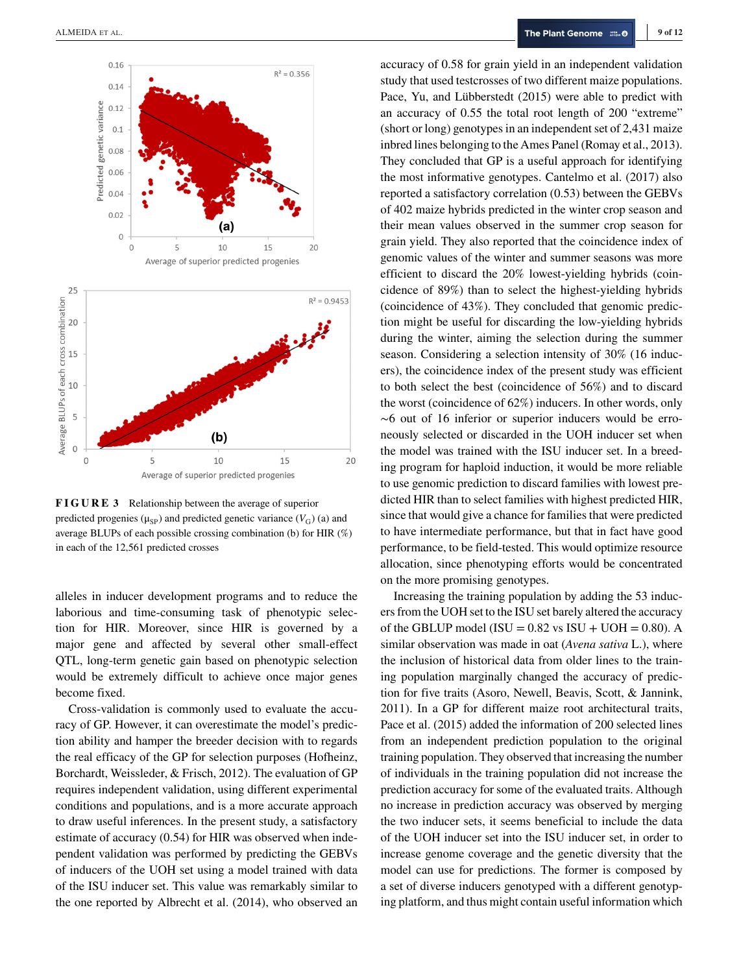

**FIGURE 3** Relationship between the average of superior predicted progenies ( $\mu_{SP}$ ) and predicted genetic variance ( $V_G$ ) (a) and average BLUPs of each possible crossing combination (b) for HIR (%) in each of the 12,561 predicted crosses

alleles in inducer development programs and to reduce the laborious and time-consuming task of phenotypic selection for HIR. Moreover, since HIR is governed by a major gene and affected by several other small-effect QTL, long-term genetic gain based on phenotypic selection would be extremely difficult to achieve once major genes become fixed.

Cross-validation is commonly used to evaluate the accuracy of GP. However, it can overestimate the model's prediction ability and hamper the breeder decision with to regards the real efficacy of the GP for selection purposes (Hofheinz, Borchardt, Weissleder, & Frisch, 2012). The evaluation of GP requires independent validation, using different experimental conditions and populations, and is a more accurate approach to draw useful inferences. In the present study, a satisfactory estimate of accuracy (0.54) for HIR was observed when independent validation was performed by predicting the GEBVs of inducers of the UOH set using a model trained with data of the ISU inducer set. This value was remarkably similar to the one reported by Albrecht et al. (2014), who observed an accuracy of 0.58 for grain yield in an independent validation study that used testcrosses of two different maize populations. Pace, Yu, and Lübberstedt (2015) were able to predict with an accuracy of 0.55 the total root length of 200 "extreme" (short or long) genotypes in an independent set of 2,431 maize inbred lines belonging to the Ames Panel (Romay et al., 2013). They concluded that GP is a useful approach for identifying the most informative genotypes. Cantelmo et al. (2017) also reported a satisfactory correlation (0.53) between the GEBVs of 402 maize hybrids predicted in the winter crop season and their mean values observed in the summer crop season for grain yield. They also reported that the coincidence index of genomic values of the winter and summer seasons was more efficient to discard the 20% lowest-yielding hybrids (coincidence of 89%) than to select the highest-yielding hybrids (coincidence of 43%). They concluded that genomic prediction might be useful for discarding the low-yielding hybrids during the winter, aiming the selection during the summer season. Considering a selection intensity of 30% (16 inducers), the coincidence index of the present study was efficient to both select the best (coincidence of 56%) and to discard the worst (coincidence of 62%) inducers. In other words, only ∼6 out of 16 inferior or superior inducers would be erroneously selected or discarded in the UOH inducer set when the model was trained with the ISU inducer set. In a breeding program for haploid induction, it would be more reliable to use genomic prediction to discard families with lowest predicted HIR than to select families with highest predicted HIR, since that would give a chance for families that were predicted to have intermediate performance, but that in fact have good performance, to be field-tested. This would optimize resource allocation, since phenotyping efforts would be concentrated on the more promising genotypes.

Increasing the training population by adding the 53 inducers from the UOH set to the ISU set barely altered the accuracy of the GBLUP model (ISU =  $0.82$  vs ISU + UOH =  $0.80$ ). A similar observation was made in oat (*Avena sativa* L.), where the inclusion of historical data from older lines to the training population marginally changed the accuracy of prediction for five traits (Asoro, Newell, Beavis, Scott, & Jannink, 2011). In a GP for different maize root architectural traits, Pace et al. (2015) added the information of 200 selected lines from an independent prediction population to the original training population. They observed that increasing the number of individuals in the training population did not increase the prediction accuracy for some of the evaluated traits. Although no increase in prediction accuracy was observed by merging the two inducer sets, it seems beneficial to include the data of the UOH inducer set into the ISU inducer set, in order to increase genome coverage and the genetic diversity that the model can use for predictions. The former is composed by a set of diverse inducers genotyped with a different genotyping platform, and thus might contain useful information which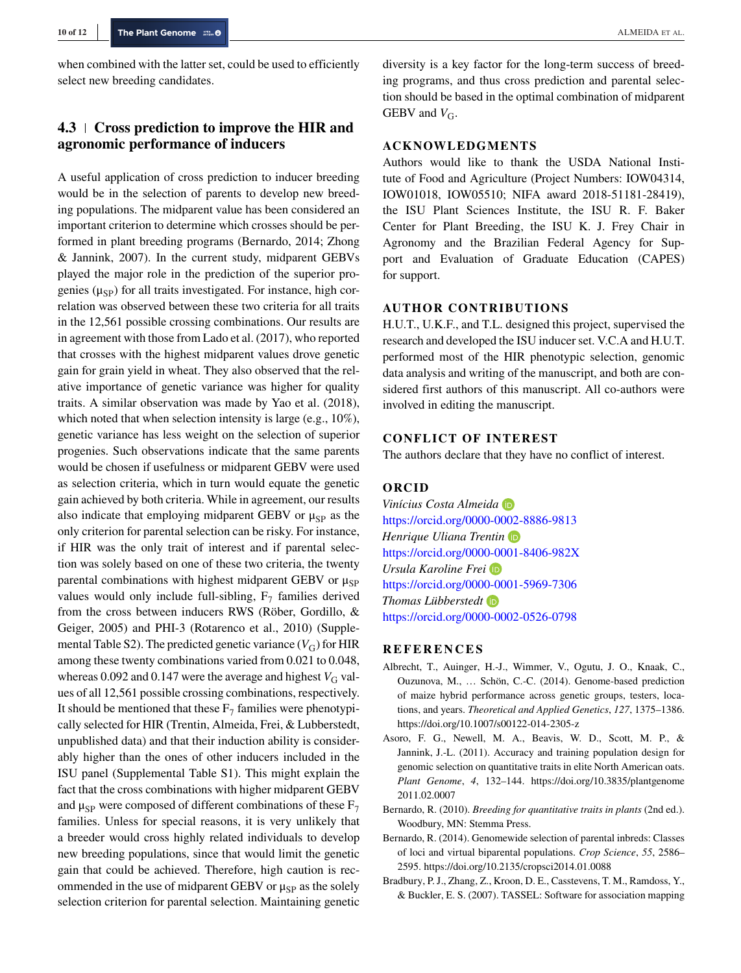when combined with the latter set, could be used to efficiently select new breeding candidates.

# **4.3 Cross prediction to improve the HIR and agronomic performance of inducers**

A useful application of cross prediction to inducer breeding would be in the selection of parents to develop new breeding populations. The midparent value has been considered an important criterion to determine which crosses should be performed in plant breeding programs (Bernardo, 2014; Zhong & Jannink, 2007). In the current study, midparent GEBVs played the major role in the prediction of the superior progenies  $(\mu_{SP})$  for all traits investigated. For instance, high correlation was observed between these two criteria for all traits in the 12,561 possible crossing combinations. Our results are in agreement with those from Lado et al. (2017), who reported that crosses with the highest midparent values drove genetic gain for grain yield in wheat. They also observed that the relative importance of genetic variance was higher for quality traits. A similar observation was made by Yao et al. (2018), which noted that when selection intensity is large (e.g., 10%), genetic variance has less weight on the selection of superior progenies. Such observations indicate that the same parents would be chosen if usefulness or midparent GEBV were used as selection criteria, which in turn would equate the genetic gain achieved by both criteria. While in agreement, our results also indicate that employing midparent GEBV or  $\mu_{SP}$  as the only criterion for parental selection can be risky. For instance, if HIR was the only trait of interest and if parental selection was solely based on one of these two criteria, the twenty parental combinations with highest midparent GEBV or  $\mu_{SP}$ values would only include full-sibling,  $F_7$  families derived from the cross between inducers RWS (Röber, Gordillo, & Geiger, 2005) and PHI-3 (Rotarenco et al., 2010) (Supplemental Table S2). The predicted genetic variance  $(V_G)$  for HIR among these twenty combinations varied from 0.021 to 0.048, whereas 0.092 and 0.147 were the average and highest  $V_G$  values of all 12,561 possible crossing combinations, respectively. It should be mentioned that these  $F_7$  families were phenotypically selected for HIR (Trentin, Almeida, Frei, & Lubberstedt, unpublished data) and that their induction ability is considerably higher than the ones of other inducers included in the ISU panel (Supplemental Table S1). This might explain the fact that the cross combinations with higher midparent GEBV and  $\mu_{SP}$  were composed of different combinations of these  $F_7$ families. Unless for special reasons, it is very unlikely that a breeder would cross highly related individuals to develop new breeding populations, since that would limit the genetic gain that could be achieved. Therefore, high caution is recommended in the use of midparent GEBV or  $\mu_{SP}$  as the solely selection criterion for parental selection. Maintaining genetic diversity is a key factor for the long-term success of breeding programs, and thus cross prediction and parental selection should be based in the optimal combination of midparent GEBV and  $V_{\text{G}}$ .

#### **ACKNOWLEDGMENTS**

Authors would like to thank the USDA National Institute of Food and Agriculture (Project Numbers: IOW04314, IOW01018, IOW05510; NIFA award 2018-51181-28419), the ISU Plant Sciences Institute, the ISU R. F. Baker Center for Plant Breeding, the ISU K. J. Frey Chair in Agronomy and the Brazilian Federal Agency for Support and Evaluation of Graduate Education (CAPES) for support.

#### **AUTHOR CONTRIBUTIONS**

H.U.T., U.K.F., and T.L. designed this project, supervised the research and developed the ISU inducer set. V.C.A and H.U.T. performed most of the HIR phenotypic selection, genomic data analysis and writing of the manuscript, and both are considered first authors of this manuscript. All co-authors were involved in editing the manuscript.

# **CONFLICT OF INTEREST**

The authors declare that they have no conflict of interest.

#### **ORCID**

*Vinícius Costa Almeida* <https://orcid.org/0000-0002-8886-9813> *Henrique Uliana Trentin* <https://orcid.org/0000-0001-8406-982X> *Ursula Karoline Frei* <https://orcid.org/0000-0001-5969-7306> *Thomas Lübberstedt* <https://orcid.org/0000-0002-0526-0798>

#### **REFERENCES**

- Albrecht, T., Auinger, H.-J., Wimmer, V., Ogutu, J. O., Knaak, C., Ouzunova, M., … Schön, C.-C. (2014). Genome-based prediction of maize hybrid performance across genetic groups, testers, locations, and years. *Theoretical and Applied Genetics*, *127*, 1375–1386. <https://doi.org/10.1007/s00122-014-2305-z>
- Asoro, F. G., Newell, M. A., Beavis, W. D., Scott, M. P., & Jannink, J.-L. (2011). Accuracy and training population design for genomic selection on quantitative traits in elite North American oats. *Plant Genome*, *4*, 132–144. [https://doi.org/10.3835/plantgenome](https://doi.org/10.3835/plantgenome2011.02.0007) [2011.02.0007](https://doi.org/10.3835/plantgenome2011.02.0007)
- Bernardo, R. (2010). *Breeding for quantitative traits in plants* (2nd ed.). Woodbury, MN: Stemma Press.
- Bernardo, R. (2014). Genomewide selection of parental inbreds: Classes of loci and virtual biparental populations. *Crop Science*, *55*, 2586– 2595.<https://doi.org/10.2135/cropsci2014.01.0088>
- Bradbury, P. J., Zhang, Z., Kroon, D. E., Casstevens, T. M., Ramdoss, Y., & Buckler, E. S. (2007). TASSEL: Software for association mapping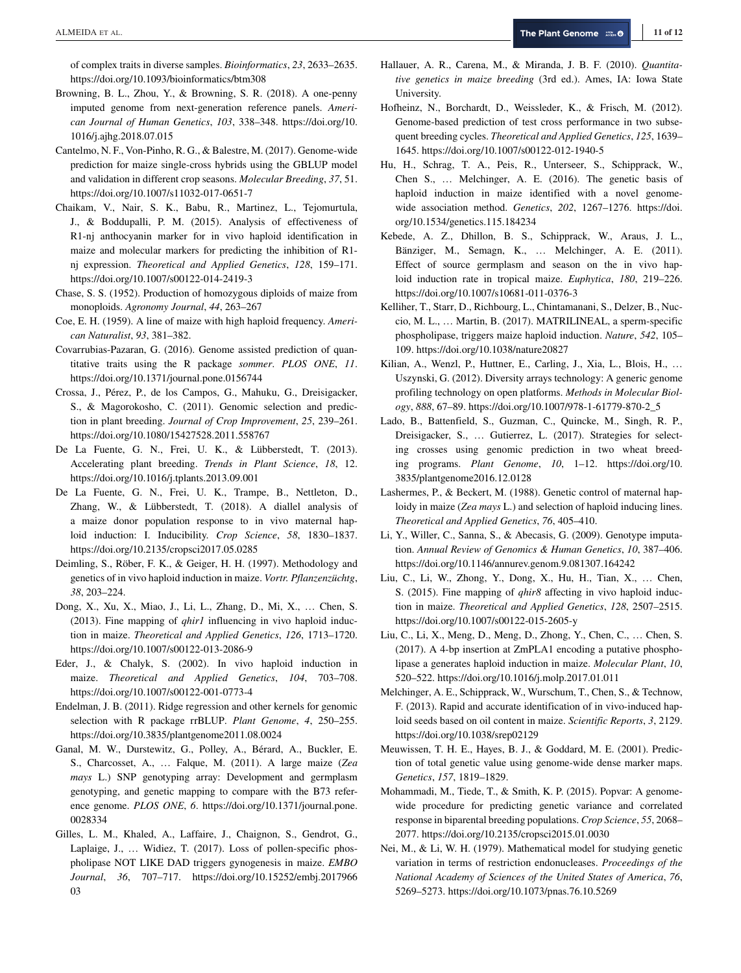of complex traits in diverse samples. *Bioinformatics*, *23*, 2633–2635. <https://doi.org/10.1093/bioinformatics/btm308>

- Browning, B. L., Zhou, Y., & Browning, S. R. (2018). A one-penny imputed genome from next-generation reference panels. *American Journal of Human Genetics*, *103*, 338–348. [https://doi.org/10.](https://doi.org/10.1016/j.ajhg.2018.07.015) [1016/j.ajhg.2018.07.015](https://doi.org/10.1016/j.ajhg.2018.07.015)
- Cantelmo, N. F., Von-Pinho, R. G., & Balestre, M. (2017). Genome-wide prediction for maize single-cross hybrids using the GBLUP model and validation in different crop seasons. *Molecular Breeding*, *37*, 51. <https://doi.org/10.1007/s11032-017-0651-7>
- Chaikam, V., Nair, S. K., Babu, R., Martinez, L., Tejomurtula, J., & Boddupalli, P. M. (2015). Analysis of effectiveness of R1-nj anthocyanin marker for in vivo haploid identification in maize and molecular markers for predicting the inhibition of R1 nj expression. *Theoretical and Applied Genetics*, *128*, 159–171. <https://doi.org/10.1007/s00122-014-2419-3>
- Chase, S. S. (1952). Production of homozygous diploids of maize from monoploids. *Agronomy Journal*, *44*, 263–267
- Coe, E. H. (1959). A line of maize with high haploid frequency. *American Naturalist*, *93*, 381–382.
- Covarrubias-Pazaran, G. (2016). Genome assisted prediction of quantitative traits using the R package *sommer*. *PLOS ONE*, *11*. <https://doi.org/10.1371/journal.pone.0156744>
- Crossa, J., Pérez, P., de los Campos, G., Mahuku, G., Dreisigacker, S., & Magorokosho, C. (2011). Genomic selection and prediction in plant breeding. *Journal of Crop Improvement*, *25*, 239–261. <https://doi.org/10.1080/15427528.2011.558767>
- De La Fuente, G. N., Frei, U. K., & Lübberstedt, T. (2013). Accelerating plant breeding. *Trends in Plant Science*, *18*, 12. <https://doi.org/10.1016/j.tplants.2013.09.001>
- De La Fuente, G. N., Frei, U. K., Trampe, B., Nettleton, D., Zhang, W., & Lübberstedt, T. (2018). A diallel analysis of a maize donor population response to in vivo maternal haploid induction: I. Inducibility. *Crop Science*, *58*, 1830–1837. <https://doi.org/10.2135/cropsci2017.05.0285>
- Deimling, S., Röber, F. K., & Geiger, H. H. (1997). Methodology and genetics of in vivo haploid induction in maize. *Vortr. Pflanzenzüchtg*, *38*, 203–224.
- Dong, X., Xu, X., Miao, J., Li, L., Zhang, D., Mi, X., … Chen, S. (2013). Fine mapping of *qhir1* influencing in vivo haploid induction in maize. *Theoretical and Applied Genetics*, *126*, 1713–1720. <https://doi.org/10.1007/s00122-013-2086-9>
- Eder, J., & Chalyk, S. (2002). In vivo haploid induction in maize. *Theoretical and Applied Genetics*, *104*, 703–708. <https://doi.org/10.1007/s00122-001-0773-4>
- Endelman, J. B. (2011). Ridge regression and other kernels for genomic selection with R package rrBLUP. *Plant Genome*, *4*, 250–255. <https://doi.org/10.3835/plantgenome2011.08.0024>
- Ganal, M. W., Durstewitz, G., Polley, A., Bérard, A., Buckler, E. S., Charcosset, A., … Falque, M. (2011). A large maize (*Zea mays* L.) SNP genotyping array: Development and germplasm genotyping, and genetic mapping to compare with the B73 reference genome. *PLOS ONE*, *6*. [https://doi.org/10.1371/journal.pone.](https://doi.org/10.1371/journal.pone.0028334) [0028334](https://doi.org/10.1371/journal.pone.0028334)
- Gilles, L. M., Khaled, A., Laffaire, J., Chaignon, S., Gendrot, G., Laplaige, J., … Widiez, T. (2017). Loss of pollen-specific phospholipase NOT LIKE DAD triggers gynogenesis in maize. *EMBO Journal*, *36*, 707–717. [https://doi.org/10.15252/embj.2017966](https://doi.org/10.15252/embj.201796603) [03](https://doi.org/10.15252/embj.201796603)
- Hallauer, A. R., Carena, M., & Miranda, J. B. F. (2010). *Quantitative genetics in maize breeding* (3rd ed.). Ames, IA: Iowa State University.
- Hofheinz, N., Borchardt, D., Weissleder, K., & Frisch, M. (2012). Genome-based prediction of test cross performance in two subsequent breeding cycles. *Theoretical and Applied Genetics*, *125*, 1639– 1645.<https://doi.org/10.1007/s00122-012-1940-5>
- Hu, H., Schrag, T. A., Peis, R., Unterseer, S., Schipprack, W., Chen S., … Melchinger, A. E. (2016). The genetic basis of haploid induction in maize identified with a novel genomewide association method. *Genetics*, *202*, 1267–1276. [https://doi.](https://doi.org/10.1534/genetics.115.184234) [org/10.1534/genetics.115.184234](https://doi.org/10.1534/genetics.115.184234)
- Kebede, A. Z., Dhillon, B. S., Schipprack, W., Araus, J. L., Bänziger, M., Semagn, K., … Melchinger, A. E. (2011). Effect of source germplasm and season on the in vivo haploid induction rate in tropical maize. *Euphytica*, *180*, 219–226. <https://doi.org/10.1007/s10681-011-0376-3>
- Kelliher, T., Starr, D., Richbourg, L., Chintamanani, S., Delzer, B., Nuccio, M. L., … Martin, B. (2017). MATRILINEAL, a sperm-specific phospholipase, triggers maize haploid induction. *Nature*, *542*, 105– 109.<https://doi.org/10.1038/nature20827>
- Kilian, A., Wenzl, P., Huttner, E., Carling, J., Xia, L., Blois, H., … Uszynski, G. (2012). Diversity arrays technology: A generic genome profiling technology on open platforms. *Methods in Molecular Biology*, *888*, 67–89. [https://doi.org/10.1007/978-1-61779-870-2\\_5](https://doi.org/10.1007/978-1-61779-870-2_5)
- Lado, B., Battenfield, S., Guzman, C., Quincke, M., Singh, R. P., Dreisigacker, S., … Gutierrez, L. (2017). Strategies for selecting crosses using genomic prediction in two wheat breeding programs. *Plant Genome*, *10*, 1–12. [https://doi.org/10.](https://doi.org/10.3835/plantgenome2016.12.0128) [3835/plantgenome2016.12.0128](https://doi.org/10.3835/plantgenome2016.12.0128)
- Lashermes, P., & Beckert, M. (1988). Genetic control of maternal haploidy in maize (*Zea mays* L.) and selection of haploid inducing lines. *Theoretical and Applied Genetics*, *76*, 405–410.
- Li, Y., Willer, C., Sanna, S., & Abecasis, G. (2009). Genotype imputation. *Annual Review of Genomics & Human Genetics*, *10*, 387–406. <https://doi.org/10.1146/annurev.genom.9.081307.164242>
- Liu, C., Li, W., Zhong, Y., Dong, X., Hu, H., Tian, X., … Chen, S. (2015). Fine mapping of *qhir8* affecting in vivo haploid induction in maize. *Theoretical and Applied Genetics*, *128*, 2507–2515. <https://doi.org/10.1007/s00122-015-2605-y>
- Liu, C., Li, X., Meng, D., Meng, D., Zhong, Y., Chen, C., … Chen, S. (2017). A 4-bp insertion at ZmPLA1 encoding a putative phospholipase a generates haploid induction in maize. *Molecular Plant*, *10*, 520–522.<https://doi.org/10.1016/j.molp.2017.01.011>
- Melchinger, A. E., Schipprack, W., Wurschum, T., Chen, S., & Technow, F. (2013). Rapid and accurate identification of in vivo-induced haploid seeds based on oil content in maize. *Scientific Reports*, *3*, 2129. <https://doi.org/10.1038/srep02129>
- Meuwissen, T. H. E., Hayes, B. J., & Goddard, M. E. (2001). Prediction of total genetic value using genome-wide dense marker maps. *Genetics*, *157*, 1819–1829.
- Mohammadi, M., Tiede, T., & Smith, K. P. (2015). Popvar: A genomewide procedure for predicting genetic variance and correlated response in biparental breeding populations. *Crop Science*, *55*, 2068– 2077.<https://doi.org/10.2135/cropsci2015.01.0030>
- Nei, M., & Li, W. H. (1979). Mathematical model for studying genetic variation in terms of restriction endonucleases. *Proceedings of the National Academy of Sciences of the United States of America*, *76*, 5269–5273.<https://doi.org/10.1073/pnas.76.10.5269>